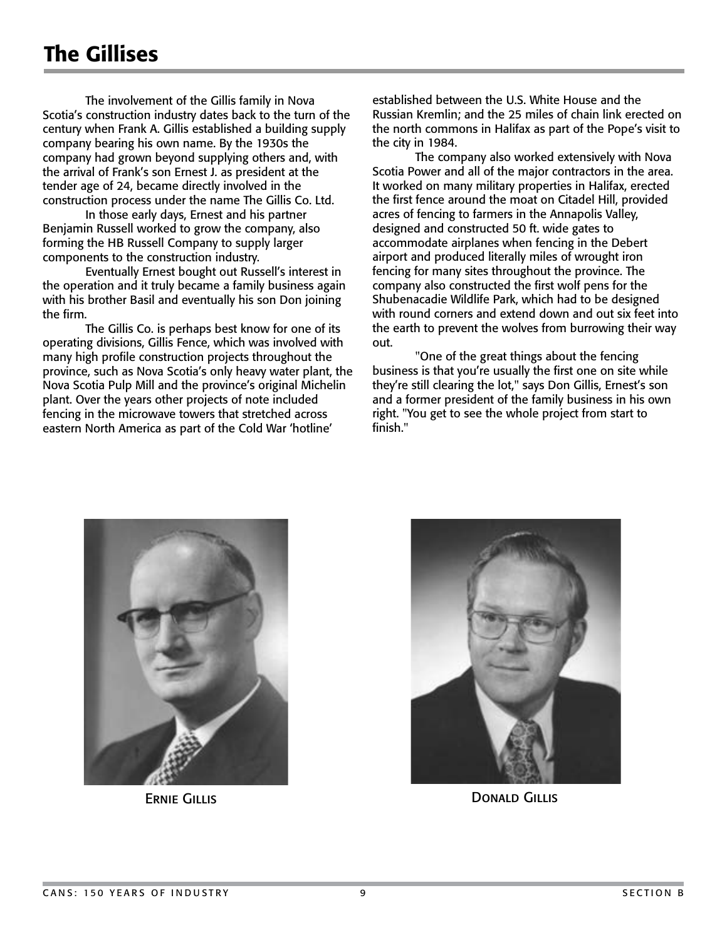The involvement of the Gillis family in Nova Scotia's construction industry dates back to the turn of the century when Frank A. Gillis established a building supply company bearing his own name. By the 1930s the company had grown beyond supplying others and, with the arrival of Frank's son Ernest J. as president at the tender age of 24, became directly involved in the construction process under the name The Gillis Co. Ltd.

 In those early days, Ernest and his partner Benjamin Russell worked to grow the company, also forming the HB Russell Company to supply larger components to the construction industry.

 Eventually Ernest bought out Russell's interest in the operation and it truly became a family business again with his brother Basil and eventually his son Don joining the firm.

 The Gillis Co. is perhaps best know for one of its operating divisions, Gillis Fence, which was involved with many high profile construction projects throughout the province, such as Nova Scotia's only heavy water plant, the Nova Scotia Pulp Mill and the province's original Michelin plant. Over the years other projects of note included fencing in the microwave towers that stretched across eastern North America as part of the Cold War 'hotline'

established between the U.S. White House and the Russian Kremlin; and the 25 miles of chain link erected on the north commons in Halifax as part of the Pope's visit to the city in 1984.

 The company also worked extensively with Nova Scotia Power and all of the major contractors in the area. It worked on many military properties in Halifax, erected the first fence around the moat on Citadel Hill, provided acres of fencing to farmers in the Annapolis Valley, designed and constructed 50 ft. wide gates to accommodate airplanes when fencing in the Debert airport and produced literally miles of wrought iron fencing for many sites throughout the province. The company also constructed the first wolf pens for the Shubenacadie Wildlife Park, which had to be designed with round corners and extend down and out six feet into the earth to prevent the wolves from burrowing their way out.

 "One of the great things about the fencing business is that you're usually the first one on site while they're still clearing the lot," says Don Gillis, Ernest's son and a former president of the family business in his own right. "You get to see the whole project from start to finish."





ERNIE GILLIS DONALD GILLIS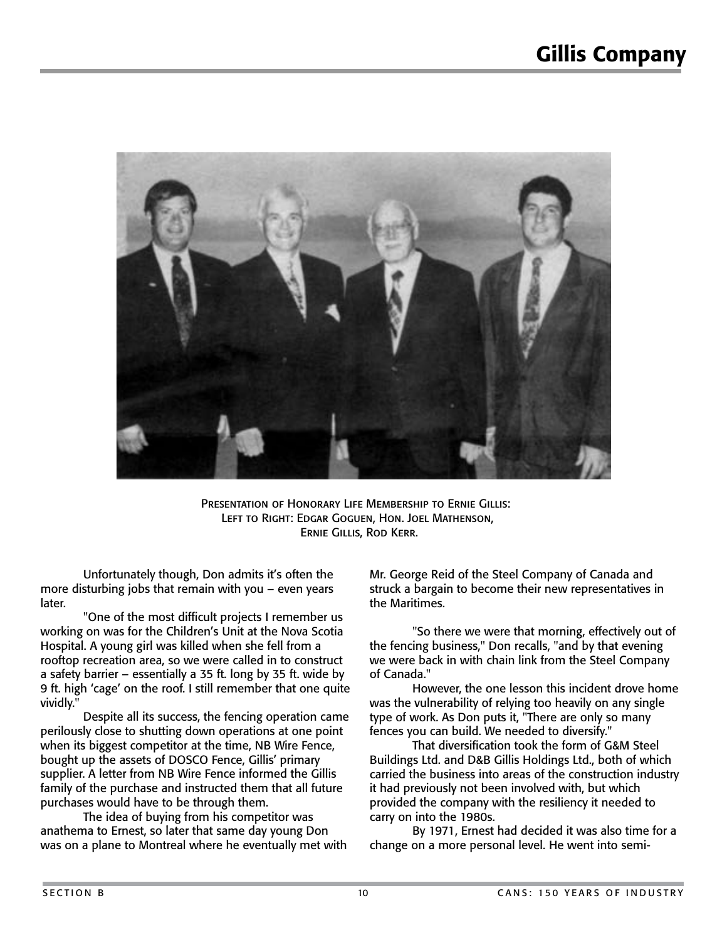

Presentation of Honorary Life Membership to Ernie Gillis: Left to Right: Edgar Goguen, Hon. Joel Mathenson, Ernie Gillis, Rod Kerr.

 Unfortunately though, Don admits it's often the more disturbing jobs that remain with you – even years later.

 "One of the most difficult projects I remember us working on was for the Children's Unit at the Nova Scotia Hospital. A young girl was killed when she fell from a rooftop recreation area, so we were called in to construct a safety barrier – essentially a 35 ft. long by 35 ft. wide by 9 ft. high 'cage' on the roof. I still remember that one quite vividly."

 Despite all its success, the fencing operation came perilously close to shutting down operations at one point when its biggest competitor at the time, NB Wire Fence, bought up the assets of DOSCO Fence, Gillis' primary supplier. A letter from NB Wire Fence informed the Gillis family of the purchase and instructed them that all future purchases would have to be through them.

 The idea of buying from his competitor was anathema to Ernest, so later that same day young Don was on a plane to Montreal where he eventually met with Mr. George Reid of the Steel Company of Canada and struck a bargain to become their new representatives in the Maritimes.

 "So there we were that morning, effectively out of the fencing business," Don recalls, "and by that evening we were back in with chain link from the Steel Company of Canada."

 However, the one lesson this incident drove home was the vulnerability of relying too heavily on any single type of work. As Don puts it, "There are only so many fences you can build. We needed to diversify."

 That diversification took the form of G&M Steel Buildings Ltd. and D&B Gillis Holdings Ltd., both of which carried the business into areas of the construction industry it had previously not been involved with, but which provided the company with the resiliency it needed to carry on into the 1980s.

 By 1971, Ernest had decided it was also time for a change on a more personal level. He went into semi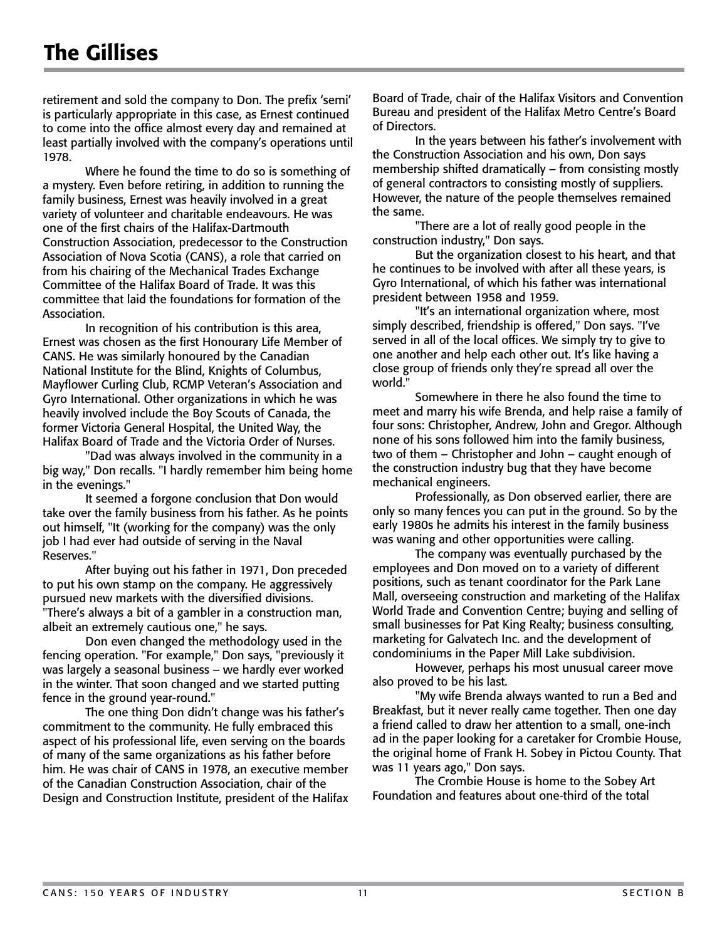retirement and sold the company to Don. The prefix 'semi' is particularly appropriate in this case, as Ernest continued to come into the office almost every day and remained at least partially involved with the company's operations until 1978.

 Where he found the time to do so is something of a mystery. Even before retiring, in addition to running the family business, Ernest was heavily involved in a great variety of volunteer and charitable endeavours. He was one of the first chairs of the Halifax-Dartmouth Construction Association, predecessor to the Construction Association of Nova Scotia (CANS), a role that carried on from his chairing of the Mechanical Trades Exchange Committee of the Halifax Board of Trade. It was this committee that laid the foundations for formation of the Association.

 In recognition of his contribution is this area, Ernest was chosen as the first Honourary Life Member of CANS. He was similarly honoured by the Canadian National Institute for the Blind, Knights of Columbus, Mayflower Curling Club, RCMP Veteran's Association and Gyro International. Other organizations in which he was heavily involved include the Boy Scouts of Canada, the former Victoria General Hospital, the United Way, the Halifax Board of Trade and the Victoria Order of Nurses.

 "Dad was always involved in the community in a big way," Don recalls. "I hardly remember him being home in the evenings."

 It seemed a forgone conclusion that Don would take over the family business from his father. As he points out himself, "It (working for the company) was the only job I had ever had outside of serving in the Naval Reserves."

 After buying out his father in 1971, Don preceded to put his own stamp on the company. He aggressively pursued new markets with the diversified divisions. "There's always a bit of a gambler in a construction man, albeit an extremely cautious one," he says.

 Don even changed the methodology used in the fencing operation. "For example," Don says, "previously it was largely a seasonal business – we hardly ever worked in the winter. That soon changed and we started putting fence in the ground year-round."

 The one thing Don didn't change was his father's commitment to the community. He fully embraced this aspect of his professional life, even serving on the boards of many of the same organizations as his father before him. He was chair of CANS in 1978, an executive member of the Canadian Construction Association, chair of the Design and Construction Institute, president of the Halifax Board of Trade, chair of the Halifax Visitors and Convention Bureau and president of the Halifax Metro Centre's Board of Directors.

 In the years between his father's involvement with the Construction Association and his own, Don says membership shifted dramatically – from consisting mostly of general contractors to consisting mostly of suppliers. However, the nature of the people themselves remained the same.

 "There are a lot of really good people in the construction industry," Don says.

 But the organization closest to his heart, and that he continues to be involved with after all these years, is Gyro International, of which his father was international president between 1958 and 1959.

 "It's an international organization where, most simply described, friendship is offered," Don says. "I've served in all of the local offices. We simply try to give to one another and help each other out. It's like having a close group of friends only they're spread all over the world."

 Somewhere in there he also found the time to meet and marry his wife Brenda, and help raise a family of four sons: Christopher, Andrew, John and Gregor. Although none of his sons followed him into the family business, two of them – Christopher and John – caught enough of the construction industry bug that they have become mechanical engineers.

 Professionally, as Don observed earlier, there are only so many fences you can put in the ground. So by the early 1980s he admits his interest in the family business was waning and other opportunities were calling.

 The company was eventually purchased by the employees and Don moved on to a variety of different positions, such as tenant coordinator for the Park Lane Mall, overseeing construction and marketing of the Halifax World Trade and Convention Centre; buying and selling of small businesses for Pat King Realty; business consulting, marketing for Galvatech Inc. and the development of condominiums in the Paper Mill Lake subdivision.

 However, perhaps his most unusual career move also proved to be his last.

 "My wife Brenda always wanted to run a Bed and Breakfast, but it never really came together. Then one day a friend called to draw her attention to a small, one-inch ad in the paper looking for a caretaker for Crombie House, the original home of Frank H. Sobey in Pictou County. That was 11 years ago," Don says.

 The Crombie House is home to the Sobey Art Foundation and features about one-third of the total